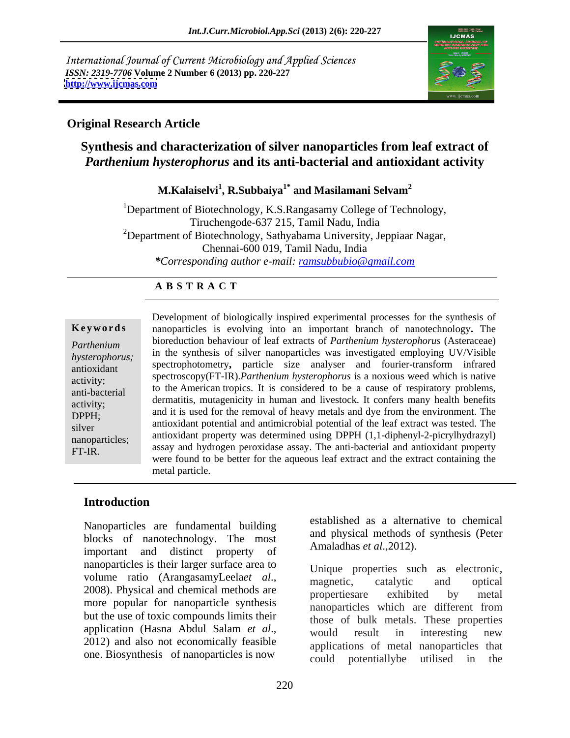International Journal of Current Microbiology and Applied Sciences *ISSN: 2319-7706* **Volume 2 Number 6 (2013) pp. 220-227 <http://www.ijcmas.com>** 



# **Original Research Article**

# **Synthesis and characterization of silver nanoparticles from leaf extract of**  *Parthenium hysterophorus* **and its anti-bacterial and antioxidant activity**

# **M.Kalaiselvi<sup>1</sup> , R.Subbaiya1\* and Masilamani Selvam2**

<sup>1</sup>Department of Biotechnology, K.S.Rangasamy College of Technology, Tiruchengode-637 215, Tamil Nadu, India <sup>2</sup>Department of Biotechnology, Sathyabama University, Jeppiaar Nagar, Chennai-600 019, Tamil Nadu, India *\*Corresponding author e-mail: ramsubbubio@gmail.com*

# **A B S T R A C T**

**Ke ywo rds** nanoparticles is evolving into an important branch of nanotechnology**.** The *Parthenium*  bioreduction behaviour of leaf extracts of *Parthenium hysterophorus* (Asteraceae) *hysterophorus;* in the synthesis of silver nanoparticles was investigated employing UV/Visible spectrophotometry, particle size analyser and fourier-transform infrared analyser activity; spectroscopy(FT-IR).*Parthenium hysterophorus* is a noxious weed which is native anti-bacterial to the American tropics. It is considered to be a cause of respiratory problems, dermatitis, mutagenicity in human and livestock. It confers many health benefits activity; exactles.<br>
DPPH; and it is used for the removal of heavy metals and dye from the environment. The extract was tested. The antioxidant potential and antimicrobial potential of the leaf extract was tested. The antioxidant property was determined using DPPH (1,1-diphenyl-2-picrylhydrazyl) Example 16 biologically inspired experimental processes for the synthesis of<br> *Parthenium*<br>
bioreduction behaviour of leaf extracts of *Parthenium* hysterophorus (Asteraceae)<br>
in the synthesis of silver nanoparticles was i to the American tropics. It is considered to be a cause of respiratory problems, assay and hydrogen peroxidase assay. The anti-bacterial and antioxidant property were found to be better for the aqueous leaf extract and the extract containing the metal particle*.*

# **Introduction**

Nanoparticles are fundamental building blocks of nanotechnology. The most important and distinct property of nanoparticles is their larger surface area to volume ratio (ArangasamyLeela*et al*., 2008). Physical and chemical methods are magnetics exhibited by metal more popular for nanoparticle synthesis but the use of toxic compounds limits their

established as a alternative to chemical and physical methods of synthesis (Peter Amaladhas *et al*.,2012).

application (Hasna Abdul Salam *et al.*,<br>2012) and also not economically feasible applications of metal nanoparticles that one. Biosynthesis of nanoparticles is now could potentially be utilised in the Unique properties such as electronic, magnetic, catalytic and optical propertiesare exhibited by metal nanoparticles which are different from those of bulk metals. These properties would result in interesting new applications of metal nanoparticles that could potentiallybe utilised in the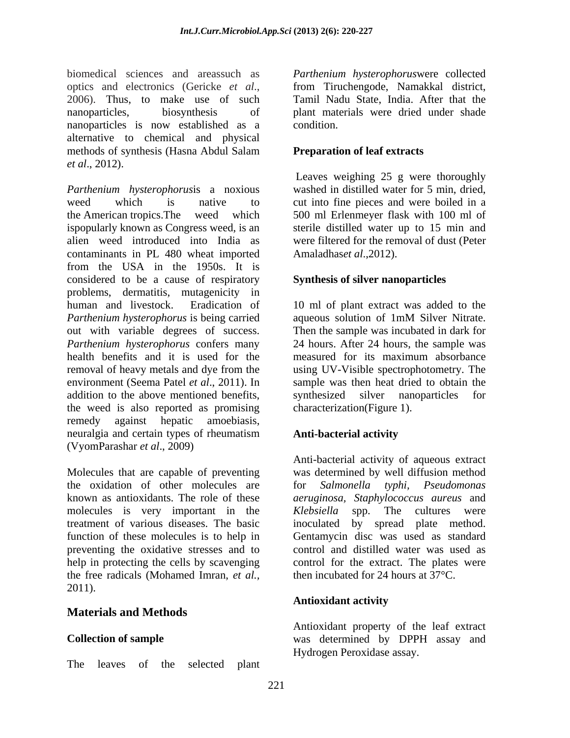biomedical sciences and areassuch as *Parthenium hysterophorus*were collected optics and electronics (Gericke *et al.*, from Tiruchengode, Namakkal district, 2006). Thus, to make use of such Tamil Nadu State, India. After that the nanoparticles, biosynthesis of plant materials were dried under shade nanoparticles is now established as a alternative to chemical and physical methods of synthesis (Hasna Abdul Salam Preparation of leaf extracts *et al*., 2012).

*Parthenium hysterophorus*is a noxious washed in distilled water for 5 min, dried, weed which is native to cut into fine pieces and were boiled in a the American tropics.The weed which 500 ml Erlenmeyer flask with 100 ml of ispopularly known as Congress weed, is an sterile distilled water up to 15 min and alien weed introduced into India as were filtered for the removal of dust (Peter contaminants in PL 480 wheat imported from the USA in the 1950s. It is considered to be a cause of respiratory problems, dermatitis, mutagenicity in human and livestock. Eradication of 10 ml of plant extract was added to the *Parthenium hysterophorus* is being carried out with variable degrees of success. Then the sample was incubated in dark for *Parthenium hysterophorus* confers many 24 hours. After 24 hours, the sample was health benefits and it is used for the measured for its maximum absorbance removal of heavy metals and dye from the using UV-Visible spectrophotometry. The environment (Seema Patel *et al*., 2011). In sample was then heat dried to obtain the addition to the above mentioned benefits, the weed is also reported as promising remedy against hepatic amoebiasis, neuralgia and certain types of rheumatism **Anti-bacterial activity** (VyomParashar *et al*., 2009)

molecules is very important in the preventing the oxidative stresses and to help in protecting the cells by scavenging the free radicals (Mohamed Imran, *et al.,* 2011).

## **Materials and Methods**

The leaves of the selected plant

from Tiruchengode, Namakkal district, Tamil Nadu State, India. After that the condition.

## **Preparation of leaf extracts**

Leaves weighing 25 g were thoroughly Amaladhas*et al*.,2012).

## **Synthesis of silver nanoparticles**

aqueous solution of 1mM Silver Nitrate. measured for its maximum absorbance synthesized silver nanoparticles characterization(Figure 1).

# **Anti-bacterial activity**

Molecules that are capable of preventing was determined by well diffusion method the oxidation of other molecules are for *Salmonella typhi, Pseudomonas* known as antioxidants. The role of these *aeruginosa, Staphylococcus aureus* and treatment of various diseases. The basic inoculated by spread plate method. function of these molecules is to help in Gentamycin disc was used as standard Anti-bacterial activity of aqueous extract spp. The cultures were control and distilled water was used as control for the extract. The plates were then incubated for 24 hours at 37°C.

## **Antioxidant activity**

**Collection of sample** was determined by DPPH assay and Antioxidant property of the leaf extract Hydrogen Peroxidase assay.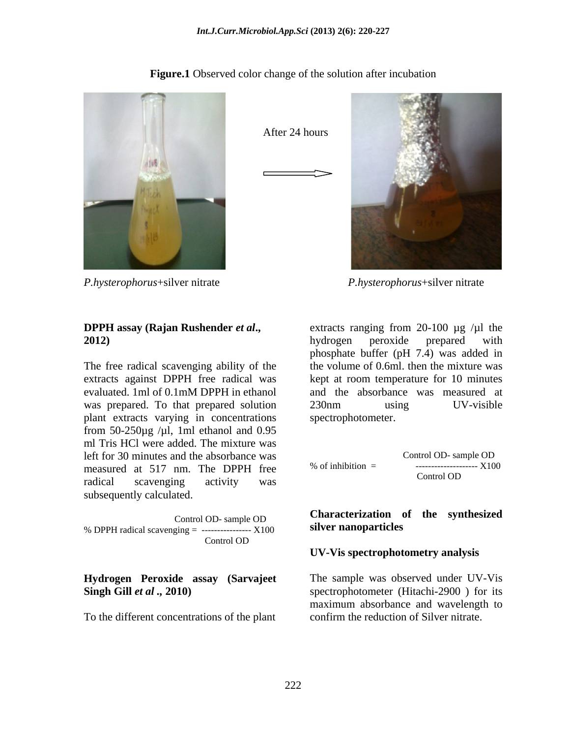**Figure.1** Observed color change of the solution after incubation



*P.hysterophorus*+silver nitrate *P.hysterophorus*+silver nitrate

The free radical scavenging ability of the evaluated. 1ml of 0.1mM DPPH in ethanol plant extracts varying in concentrations from  $50-250\mu$ g / $\mu$ l, 1ml ethanol and 0.95 ml Tris HCl were added. The mixture was left for 30 minutes and the absorbance was measured at 517 nm. The DPPH free  $\%$  of inhibition =  $\frac{1}{2}$  =  $\frac{1}{2}$   $\frac{1}{2}$   $\frac{1}{2}$ radical scavenging activity was conducted to the conduct of the scavenging activity was subsequently calculated.

% DPPH radical scavenging  $=$  -----------------  $X100$ Control OD

To the different concentrations of the plant

After 24 hours



**DPPH assay (Rajan Rushender** *et al***.,** extracts ranging from 20-100 µg /µl the **2012)** extracts against DPPH free radical was kept at room temperature for 10 minutes was prepared. To that prepared solution 230nm using UV-visible hydrogen peroxide prepared with phosphate buffer (pH 7.4) was added in the volume of 0.6ml. then the mixture was and the absorbance was measured at 230nm using UV-visible spectrophotometer.

$$
\% \text{ of inhibition} = \frac{\text{Control OD} - \text{sample OD}}{\text{Control OD}} \times 100
$$

### Control OD- sample OD **CALCALCATE CONTROL** CONTROL Systems and the systems of the systems of the systems of the systems of the systems of the systems of the systems of the systems of the systems of the systems of the syste **Characterization of the synthesized silver nanoparticles**

### **UV-Vis spectrophotometry analysis**

**Hydrogen Peroxide assay (Sarvajeet**  The sample was observed under UV-Vis **Singh Gill** *et al*, 2010) spectrophotometer (Hitachi-2900) for its maximum absorbance and wavelength to confirm the reduction of Silver nitrate.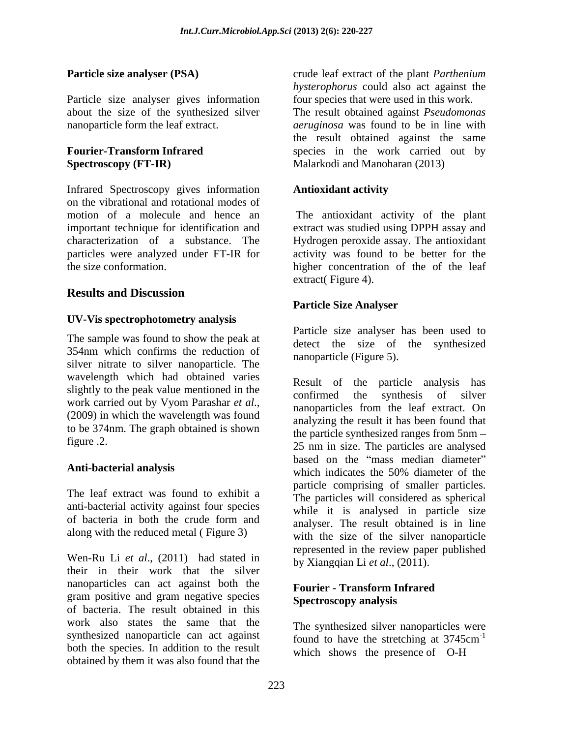Particle size analyser gives information

# **Fourier-Transform Infrared**  species in the work carried out by **Spectroscopy (FT-IR)** Malarkodi and Manoharan (2013)

Infrared Spectroscopy gives information **Antioxidant activity** on the vibrational and rotational modes of motion of a molecule and hence an The antioxidant activity of the plant important technique for identification and extract was studied using DPPH assay and characterization of a substance. The Hydrogen peroxide assay. The antioxidant particles were analyzed under FT-IR for activity was found to be better for the

# **Results and Discussion**

## **UV-Vis spectrophotometry analysis**

The sample was found to show the peak at 354nm which confirms the reduction of silver nitrate to silver nanoparticle. The wavelength which had obtained varies slightly to the peak value mentioned in the confirmed the synthesis of silver work carried out by Vyom Parashar *et al.*,<br>(2009) in which the wavelength was found<br>analyzing the result it has been found that to be 374nm. The graph obtained is shown

The leaf extract was found to exhibit a anti-bacterial activity against four species along with the reduced metal ( Figure 3)

Wen-Ru Li *et al*., (2011) had stated in their in their work that the silver nanoparticles can act against both the gram positive and gram negative species of bacteria. The result obtained in this work also states the same that the synthesized nanoparticle can act against found to have the stretching at 3745cm<sup>-1</sup> both the species. In addition to the result obtained by them it was also found that the

**Particle size analyser (PSA)** crude leaf extract of the plant *Parthenium* about the size of the synthesized silver The result obtained against *Pseudomonas*  nanoparticle form the leaf extract. *aeruginosa* was found to be in line with *hysterophorus* could also act against the four species that were used in this work. the result obtained against the same

# **Antioxidant activity**

the size conformation. higher concentration of the of the leaf extract( Figure 4).

## **Particle Size Analyser**

Particle size analyser has been used to detect the size of the synthesized nanoparticle (Figure 5).

figure .2. 25 nm in size. The particles areanalysed Anti-bacterial analysis which indicates the 50% diameter of the of bacteria in both the crude form and analyser. The result obtained is in line Result of the particle analysis has confirmed the synthesis of silver nanoparticles from the leaf extract. On analyzing the result it has been found that the particle synthesized ranges from 5nm based on the "mass median diameter" which indicates the 50% diameter of the particle comprising of smaller particles. The particles will considered as spherical while it is analysed in particle size analyser. The result obtained is in line with the size of the silver nanoparticle represented in the review paper published by Xiangqian Li *et al*., (2011).

## **Fourier - Transform Infrared Spectroscopy analysis**

The synthesized silver nanoparticles were found to have the stretching at 3745cm<sup>-1</sup> -1 which shows the presence of O-H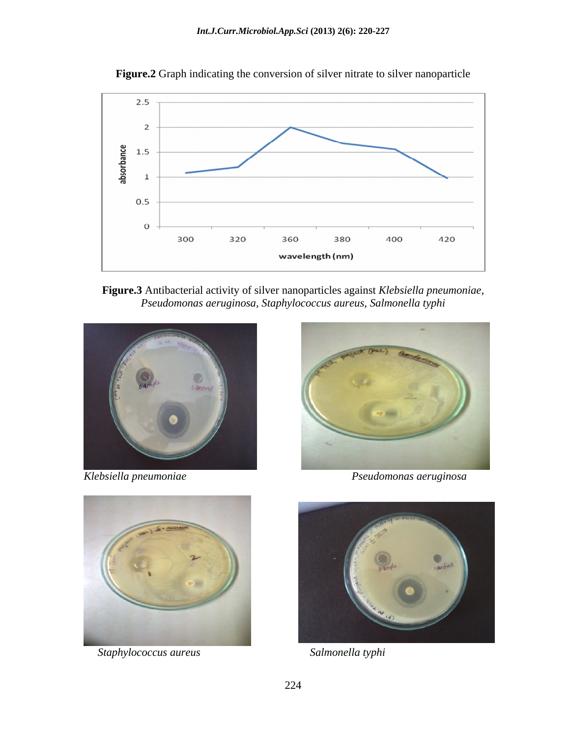

**Figure.2** Graph indicating the conversion of silver nitrate to silver nanoparticle

**Figure.3** Antibacterial activity of silver nanoparticles against *Klebsiella pneumoniae, Pseudomonas aeruginosa, Staphylococcus aureus, Salmonella typhi*







 *Staphylococcus aureus Salmonella typhi*

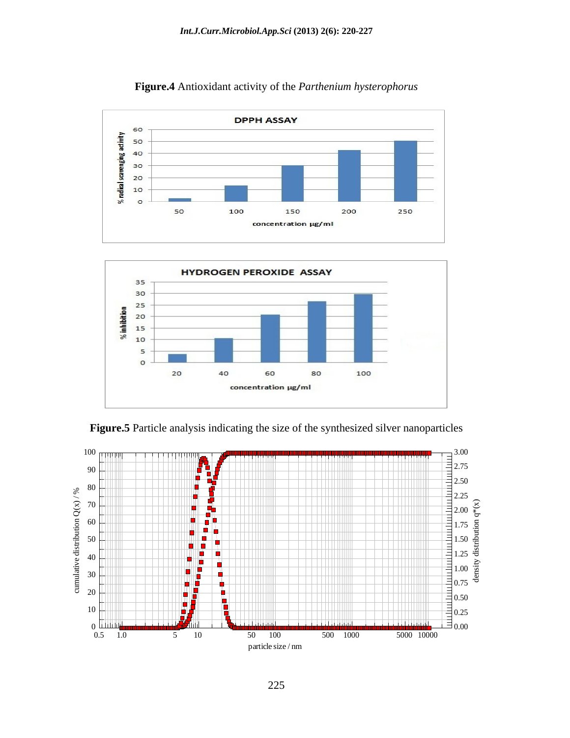

**Figure.4** Antioxidant activity of the *Parthenium hysterophorus*



**Figure.5** Particle analysis indicating the size of the synthesized silver nanoparticles

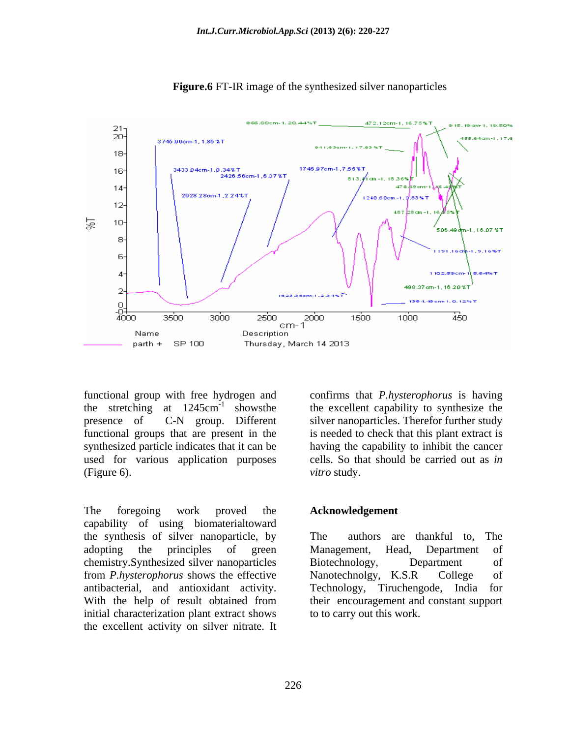

**Figure.6** FT-IR image of the synthesized silver nanoparticles

functional group with free hydrogen and confirms that *P.hysterophorus* is having functional groups that are present in the

The foregoing work proved the **Acknowledgement** capability of using biomaterialtoward the synthesis of silver nanoparticle, by adopting the principles of green Management, Head, Department of chemistry.Synthesized silver nanoparticles from *P.hysterophorus* shows the effective antibacterial, and antioxidant activity. With the help of result obtained from their encouragement and constant support initial characterization plant extract shows the excellent activity on silver nitrate. It

the stretching at  $1245 \text{cm}^{-1}$  showsthe the excellent capability to synthesize the presence of C-N group. Different silver nanoparticles. Therefor further study synthesized particle indicates that it can be having the capability to inhibit the cancer used for various application purposes cells. So that should be carried out as *in*  (Figure 6).  $vitro$  study. is needed to check that this plant extract is *vitro* study.

### **Acknowledgement**

authors are thankful to, Management, Head, Department of Biotechnology, Department of Nanotechnolgy, K.S.R College of Technology, Tiruchengode, their encouragement and constant support to to carry out this work.